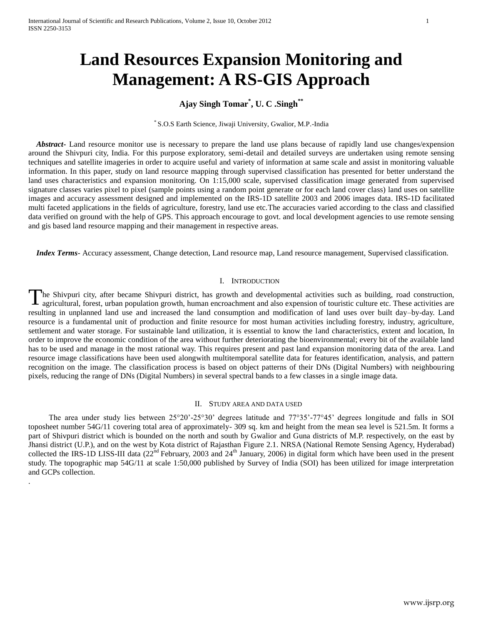.

# **Land Resources Expansion Monitoring and Management: A RS-GIS Approach**

## **Ajay Singh Tomar\* , U. C .Singh\*\***

\* S.O.S Earth Science, Jiwaji University, Gwalior, M.P.-India

 *Abstract***-** Land resource monitor use is necessary to prepare the land use plans because of rapidly land use changes/expension around the Shivpuri city, India. For this purpose exploratory, semi-detail and detailed surveys are undertaken using remote sensing techniques and satellite imageries in order to acquire useful and variety of information at same scale and assist in monitoring valuable information. In this paper, study on land resource mapping through supervised classification has presented for better understand the land uses characteristics and expansion monitoring. On 1:15,000 scale, supervised classification image generated from supervised signature classes varies pixel to pixel (sample points using a random point generate or for each land cover class) land uses on satellite images and accuracy assessment designed and implemented on the IRS-1D satellite 2003 and 2006 images data. IRS-1D facilitated multi faceted applications in the fields of agriculture, forestry, land use etc.The accuracies varied according to the class and classified data verified on ground with the help of GPS. This approach encourage to govt. and local development agencies to use remote sensing and gis based land resource mapping and their management in respective areas.

 *Index Terms*- Accuracy assessment, Change detection, Land resource map, Land resource management, Supervised classification.

## I. INTRODUCTION

he Shivpuri city, after became Shivpuri district, has growth and developmental activities such as building, road construction, agricultural, forest, urban population growth, human encroachment and also expension of touristic culture etc. These activities are resulting in unplanned land use and increased the land consumption and modification of land uses over built day–by-day. Land resource is a fundamental unit of production and finite resource for most human activities including forestry, industry, agriculture, settlement and water storage. For sustainable land utilization, it is essential to know the land characteristics, extent and location, In order to improve the economic condition of the area without further deteriorating the bioenvironmental; every bit of the available land has to be used and manage in the most rational way. This requires present and past land expansion monitoring data of the area. Land resource image classifications have been used alongwith multitemporal satellite data for features identification, analysis, and pattern recognition on the image. The classification process is based on object patterns of their DNs (Digital Numbers) with neighbouring pixels, reducing the range of DNs (Digital Numbers) in several spectral bands to a few classes in a single image data. T

## II. STUDY AREA AND DATA USED

 The area under study lies between 25°20'-25°30' degrees latitude and 77°35'-77°45' degrees longitude and falls in SOI toposheet number 54G/11 covering total area of approximately- 309 sq. km and height from the mean sea level is 521.5m. It forms a part of Shivpuri district which is bounded on the north and south by Gwalior and Guna districts of M.P. respectively, on the east by Jhansi district (U.P.), and on the west by Kota district of Rajasthan Figure 2.1. NRSA (National Remote Sensing Agency, Hyderabad) collected the IRS-1D LISS-III data (22<sup>nd</sup> February, 2003 and 24<sup>th</sup> January, 2006) in digital form which have been used in the present study. The topographic map 54G/11 at scale 1:50,000 published by Survey of India (SOI) has been utilized for image interpretation and GCPs collection.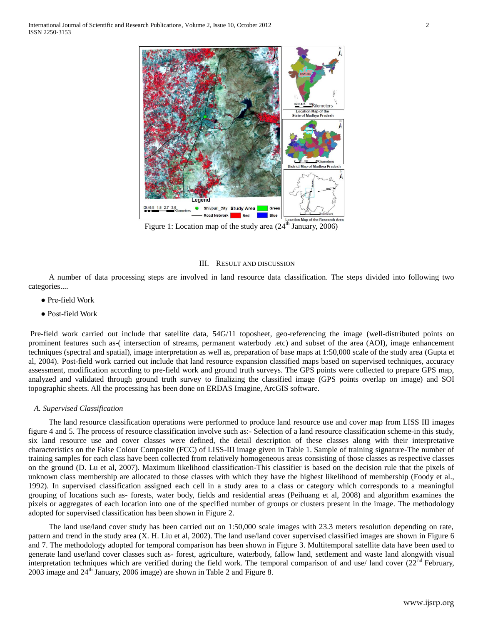

Figure 1: Location map of the study area  $(24^{\text{th}})$  January, 2006)

## III. RESULT AND DISCUSSION

 A number of data processing steps are involved in land resource data classification. The steps divided into following two categories....

- Pre-field Work
- Post-field Work

Pre-field work carried out include that satellite data, 54G/11 toposheet, geo-referencing the image (well-distributed points on prominent features such as-( intersection of streams, permanent waterbody .etc) and subset of the area (AOI), image enhancement techniques (spectral and spatial), image interpretation as well as, preparation of base maps at 1:50,000 scale of the study area (Gupta et al, 2004). Post-field work carried out include that land resource expansion classified maps based on supervised techniques, accuracy assessment, modification according to pre-field work and ground truth surveys. The GPS points were collected to prepare GPS map, analyzed and validated through ground truth survey to finalizing the classified image (GPS points overlap on image) and SOI topographic sheets. All the processing has been done on ERDAS Imagine, ArcGIS software.

## *A. Supervised Classification*

 The land resource classification operations were performed to produce land resource use and cover map from LISS III images figure 4 and 5. The process of resource classification involve such as:- Selection of a land resource classification scheme-in this study, six land resource use and cover classes were defined, the detail description of these classes along with their interpretative characteristics on the False Colour Composite (FCC) of LISS-III image given in Table 1. Sample of training signature-The number of training samples for each class have been collected from relatively homogeneous areas consisting of those classes as respective classes on the ground (D. Lu et al, 2007). Maximum likelihood classification-This classifier is based on the decision rule that the pixels of unknown class membership are allocated to those classes with which they have the highest likelihood of membership (Foody et al., 1992). In supervised classification assigned each cell in a study area to a class or category which corresponds to a meaningful grouping of locations such as- forests, water body, fields and residential areas (Peihuang et al, 2008) and algorithm examines the pixels or aggregates of each location into one of the specified number of groups or clusters present in the image. The methodology adopted for supervised classification has been shown in Figure 2.

 The land use/land cover study has been carried out on 1:50,000 scale images with 23.3 meters resolution depending on rate, pattern and trend in the study area (X. H. Liu et al, 2002). The land use/land cover supervised classified images are shown in Figure 6 and 7. The methodology adopted for temporal comparison has been shown in Figure 3. Multitemporal satellite data have been used to generate land use/land cover classes such as- forest, agriculture, waterbody, fallow land, settlement and waste land alongwith visual interpretation techniques which are verified during the field work. The temporal comparison of and use/ land cover  $(22<sup>nd</sup> Februar)$ , 2003 image and  $24<sup>th</sup>$  January, 2006 image) are shown in Table 2 and Figure 8.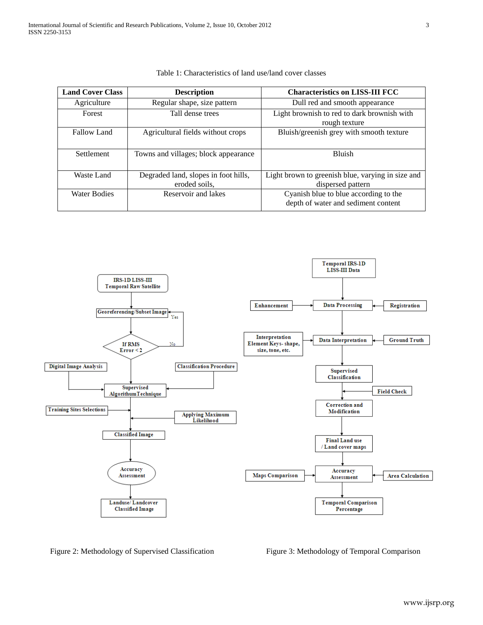| <b>Land Cover Class</b> | <b>Description</b>                   | <b>Characteristics on LISS-III FCC</b>            |  |  |
|-------------------------|--------------------------------------|---------------------------------------------------|--|--|
| Agriculture             | Regular shape, size pattern          | Dull red and smooth appearance                    |  |  |
| Forest                  | Tall dense trees                     | Light brownish to red to dark brownish with       |  |  |
|                         |                                      | rough texture                                     |  |  |
| <b>Fallow Land</b>      | Agricultural fields without crops    | Bluish/greenish grey with smooth texture          |  |  |
|                         |                                      |                                                   |  |  |
| <b>Settlement</b>       | Towns and villages; block appearance | <b>Bluish</b>                                     |  |  |
|                         |                                      |                                                   |  |  |
| Waste Land              | Degraded land, slopes in foot hills, | Light brown to greenish blue, varying in size and |  |  |
|                         | eroded soils,                        | dispersed pattern                                 |  |  |
| Water Bodies            | Reservoir and lakes                  | Cyanish blue to blue according to the             |  |  |
|                         |                                      | depth of water and sediment content               |  |  |

| Table 1: Characteristics of land use/land cover classes |
|---------------------------------------------------------|
|---------------------------------------------------------|



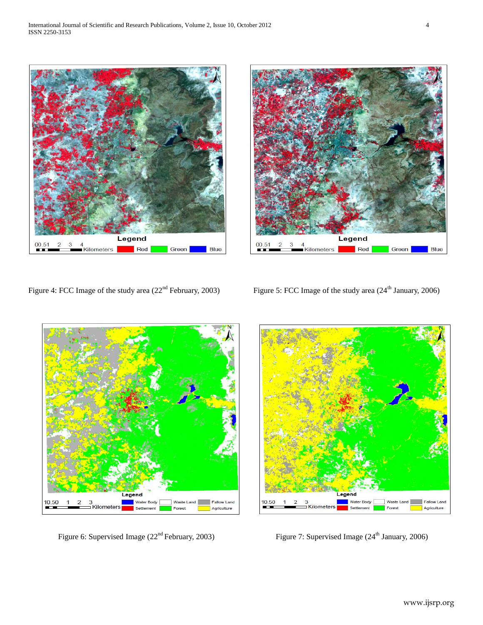



Figure 4: FCC Image of the study area (22<sup>nd</sup> February, 2003) Figure 5: FCC Image of the study area (24<sup>th</sup> January, 2006)



Figure 6: Supervised Image (22<sup>nd</sup> February, 2003) Figure 7: Supervised Image (24<sup>th</sup> January, 2006)

Legend 10.50 **Nater Body** Fallow Land  $\overline{2}$ 3<br><mark>⊐ Kilometers</mark> Fores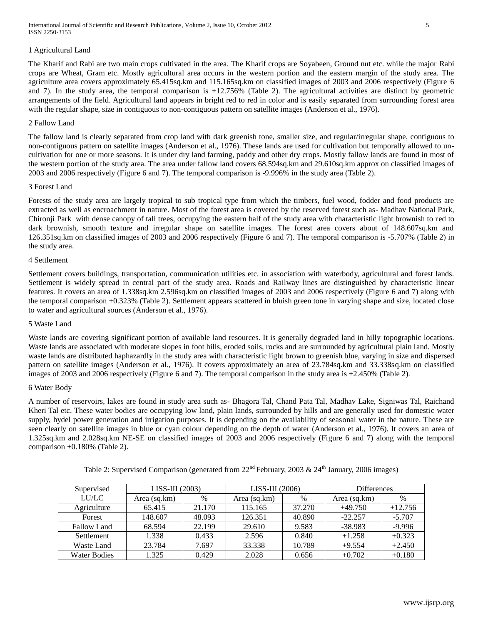International Journal of Scientific and Research Publications, Volume 2, Issue 10, October 2012 5 ISSN 2250-3153

## 1 Agricultural Land

The Kharif and Rabi are two main crops cultivated in the area. The Kharif crops are Soyabeen, Ground nut etc. while the major Rabi crops are Wheat, Gram etc. Mostly agricultural area occurs in the western portion and the eastern margin of the study area. The agriculture area covers approximately 65.415sq.km and 115.165sq.km on classified images of 2003 and 2006 respectively (Figure 6 and 7). In the study area, the temporal comparison is +12.756% (Table 2). The agricultural activities are distinct by geometric arrangements of the field. Agricultural land appears in bright red to red in color and is easily separated from surrounding forest area with the regular shape, size in contiguous to non-contiguous pattern on satellite images (Anderson et al., 1976).

## 2 Fallow Land

The fallow land is clearly separated from crop land with dark greenish tone, smaller size, and regular/irregular shape, contiguous to non-contiguous pattern on satellite images (Anderson et al., 1976). These lands are used for cultivation but temporally allowed to uncultivation for one or more seasons. It is under dry land farming, paddy and other dry crops. Mostly fallow lands are found in most of the western portion of the study area. The area under fallow land covers 68.594sq.km and 29.610sq.km approx on classified images of 2003 and 2006 respectively (Figure 6 and 7). The temporal comparison is -9.996% in the study area (Table 2).

## 3 Forest Land

Forests of the study area are largely tropical to sub tropical type from which the timbers, fuel wood, fodder and food products are extracted as well as encroachment in nature. Most of the forest area is covered by the reserved forest such as- Madhav National Park, Chironji Park with dense canopy of tall trees, occupying the eastern half of the study area with characteristic light brownish to red to dark brownish, smooth texture and irregular shape on satellite images. The forest area covers about of 148.607sq.km and 126.351sq.km on classified images of 2003 and 2006 respectively (Figure 6 and 7). The temporal comparison is -5.707% (Table 2) in the study area.

## 4 Settlement

Settlement covers buildings, transportation, communication utilities etc. in association with waterbody, agricultural and forest lands. Settlement is widely spread in central part of the study area. Roads and Railway lines are distinguished by characteristic linear features. It covers an area of 1.338sq.km 2.596sq.km on classified images of 2003 and 2006 respectively (Figure 6 and 7) along with the temporal comparison +0.323% (Table 2). Settlement appears scattered in bluish green tone in varying shape and size, located close to water and agricultural sources (Anderson et al., 1976).

## 5 Waste Land

Waste lands are covering significant portion of available land resources. It is generally degraded land in hilly topographic locations. Waste lands are associated with moderate slopes in foot hills, eroded soils, rocks and are surrounded by agricultural plain land. Mostly waste lands are distributed haphazardly in the study area with characteristic light brown to greenish blue, varying in size and dispersed pattern on satellite images (Anderson et al., 1976). It covers approximately an area of 23.784sq.km and 33.338sq.km on classified images of 2003 and 2006 respectively (Figure 6 and 7). The temporal comparison in the study area is +2.450% (Table 2).

## 6 Water Body

A number of reservoirs, lakes are found in study area such as- Bhagora Tal, Chand Pata Tal, Madhav Lake, Signiwas Tal, Raichand Kheri Tal etc. These water bodies are occupying low land, plain lands, surrounded by hills and are generally used for domestic water supply, hydel power generation and irrigation purposes. It is depending on the availability of seasonal water in the nature. These are seen clearly on satellite images in blue or cyan colour depending on the depth of water (Anderson et al., 1976). It covers an area of 1.325sq.km and 2.028sq.km NE-SE on classified images of 2003 and 2006 respectively (Figure 6 and 7) along with the temporal comparison +0.180% (Table 2).

| Supervised          | LISS-III (2003) |        | $LISS-III$ (2006) |        | <b>Differences</b> |           |
|---------------------|-----------------|--------|-------------------|--------|--------------------|-----------|
| LU/LC               | Area (sq.km)    | $\%$   | Area (sq.km)      | $\%$   | Area (sq.km)       | $\%$      |
| Agriculture         | 65.415          | 21.170 | 115.165           | 37.270 | $+49.750$          | $+12.756$ |
| Forest              | 148.607         | 48.093 | 126.351           | 40.890 | $-22.257$          | $-5.707$  |
| Fallow Land         | 68.594          | 22.199 | 29.610            | 9.583  | $-38.983$          | $-9.996$  |
| <b>Settlement</b>   | 1.338           | 0.433  | 2.596             | 0.840  | $+1.258$           | $+0.323$  |
| Waste Land          | 23.784          | 7.697  | 33.338            | 10.789 | $+9.554$           | $+2.450$  |
| <b>Water Bodies</b> | 1.325           | 0.429  | 2.028             | 0.656  | $+0.702$           | $+0.180$  |

Table 2: Supervised Comparison (generated from  $22<sup>nd</sup>$  February, 2003 &  $24<sup>th</sup>$  January, 2006 images)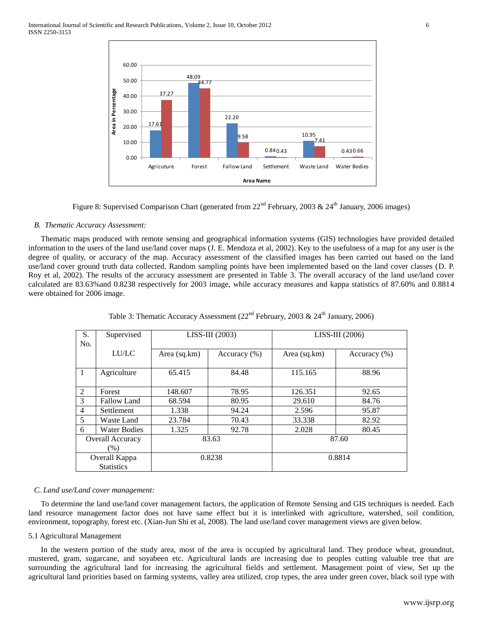

Figure 8: Supervised Comparison Chart (generated from  $22<sup>nd</sup>$  February, 2003 &  $24<sup>th</sup>$  January, 2006 images)

## *B. Thematic Accuracy Assessment:*

Thematic maps produced with remote sensing and geographical information systems (GIS) technologies have provided detailed information to the users of the land use/land cover maps (J. E. Mendoza et al, 2002). Key to the usefulness of a map for any user is the degree of quality, or accuracy of the map. Accuracy assessment of the classified images has been carried out based on the land use/land cover ground truth data collected. Random sampling points have been implemented based on the land cover classes (D. P. Roy et al, 2002). The results of the accuracy assessment are presented in Table 3. The overall accuracy of the land use/land cover calculated are 83.63%and 0.8238 respectively for 2003 image, while accuracy measures and kappa statistics of 87.60% and 0.8814 were obtained for 2006 image.

| S.                      | Supervised          |              | $LISS-III$ (2003) | $LISS-III$ (2006) |                  |  |
|-------------------------|---------------------|--------------|-------------------|-------------------|------------------|--|
| No.                     |                     |              |                   |                   |                  |  |
|                         |                     |              |                   |                   |                  |  |
|                         | <b>LU/LC</b>        | Area (sq.km) | Accuracy $(\% )$  | Area (sq.km)      | Accuracy $(\% )$ |  |
|                         |                     |              |                   |                   |                  |  |
| $\overline{1}$          | Agriculture         | 65.415       | 84.48             | 115.165           | 88.96            |  |
|                         |                     |              |                   |                   |                  |  |
| 2                       | Forest              | 148.607      | 78.95             | 126.351           | 92.65            |  |
| 3                       | Fallow Land         | 68.594       | 80.95             | 29.610            | 84.76            |  |
| $\overline{4}$          | Settlement          | 1.338        | 94.24             | 2.596             | 95.87            |  |
| 5                       | Waste Land          | 23.784       | 70.43             | 33.338            | 82.92            |  |
| 6                       | <b>Water Bodies</b> | 1.325        | 92.78             | 2.028             | 80.45            |  |
| <b>Overall Accuracy</b> |                     | 83.63        |                   | 87.60             |                  |  |
|                         | $(\%)$              |              |                   |                   |                  |  |
| Overall Kappa           |                     | 0.8238       |                   | 0.8814            |                  |  |
|                         | <b>Statistics</b>   |              |                   |                   |                  |  |

Table 3: Thematic Accuracy Assessment ( $22<sup>nd</sup>$  February, 2003 &  $24<sup>th</sup>$  January, 2006)

## *C. Land use/Land cover management:*

To determine the land use/land cover management factors, the application of Remote Sensing and GIS techniques is needed. Each land resource management factor does not have same effect but it is interlinked with agriculture, watershed, soil condition, environment, topography, forest etc. (Xian-Jun Shi et al, 2008). The land use/land cover management views are given below.

## 5.1 Agricultural Management

In the western portion of the study area, most of the area is occupied by agricultural land. They produce wheat, groundnut, mustered, gram, sugarcane, and soyabeen etc. Agricultural lands are increasing due to peoples cutting valuable tree that are surrounding the agricultural land for increasing the agricultural fields and settlement. Management point of view, Set up the agricultural land priorities based on farming systems, valley area utilized, crop types, the area under green cover, black soil type with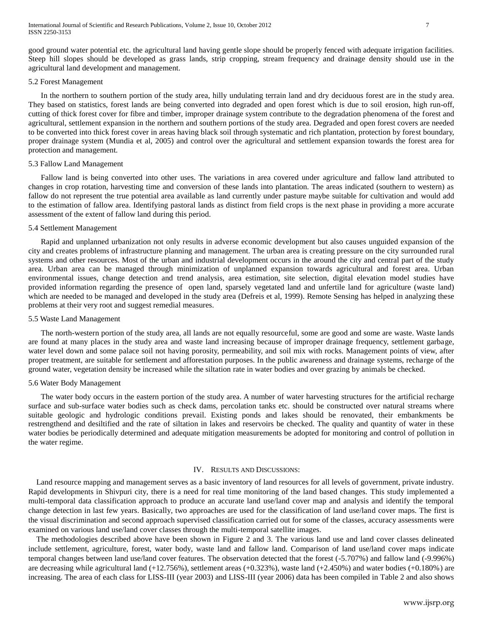good ground water potential etc. the agricultural land having gentle slope should be properly fenced with adequate irrigation facilities. Steep hill slopes should be developed as grass lands, strip cropping, stream frequency and drainage density should use in the agricultural land development and management.

#### 5.2 Forest Management

In the northern to southern portion of the study area, hilly undulating terrain land and dry deciduous forest are in the study area. They based on statistics, forest lands are being converted into degraded and open forest which is due to soil erosion, high run-off, cutting of thick forest cover for fibre and timber, improper drainage system contribute to the degradation phenomena of the forest and agricultural, settlement expansion in the northern and southern portions of the study area. Degraded and open forest covers are needed to be converted into thick forest cover in areas having black soil through systematic and rich plantation, protection by forest boundary, proper drainage system (Mundia et al, 2005) and control over the agricultural and settlement expansion towards the forest area for protection and management.

## 5.3 Fallow Land Management

Fallow land is being converted into other uses. The variations in area covered under agriculture and fallow land attributed to changes in crop rotation, harvesting time and conversion of these lands into plantation. The areas indicated (southern to western) as fallow do not represent the true potential area available as land currently under pasture maybe suitable for cultivation and would add to the estimation of fallow area. Identifying pastoral lands as distinct from field crops is the next phase in providing a more accurate assessment of the extent of fallow land during this period.

## 5.4 Settlement Management

Rapid and unplanned urbanization not only results in adverse economic development but also causes unguided expansion of the city and creates problems of infrastructure planning and management. The urban area is creating pressure on the city surrounded rural systems and other resources. Most of the urban and industrial development occurs in the around the city and central part of the study area. Urban area can be managed through minimization of unplanned expansion towards agricultural and forest area. Urban environmental issues, change detection and trend analysis, area estimation, site selection, digital elevation model studies have provided information regarding the presence of open land, sparsely vegetated land and unfertile land for agriculture (waste land) which are needed to be managed and developed in the study area (Defreis et al, 1999). Remote Sensing has helped in analyzing these problems at their very root and suggest remedial measures.

## 5.5 Waste Land Management

The north-western portion of the study area, all lands are not equally resourceful, some are good and some are waste. Waste lands are found at many places in the study area and waste land increasing because of improper drainage frequency, settlement garbage, water level down and some palace soil not having porosity, permeability, and soil mix with rocks. Management points of view, after proper treatment, are suitable for settlement and afforestation purposes. In the public awareness and drainage systems, recharge of the ground water, vegetation density be increased while the siltation rate in water bodies and over grazing by animals be checked.

#### 5.6 Water Body Management

The water body occurs in the eastern portion of the study area. A number of water harvesting structures for the artificial recharge surface and sub-surface water bodies such as check dams, percolation tanks etc. should be constructed over natural streams where suitable geologic and hydrologic conditions prevail. Existing ponds and lakes should be renovated, their embankments be restrengthend and desiltified and the rate of siltation in lakes and reservoirs be checked. The quality and quantity of water in these water bodies be periodically determined and adequate mitigation measurements be adopted for monitoring and control of pollution in the water regime.

#### IV. RESULTS AND DISCUSSIONS:

Land resource mapping and management serves as a basic inventory of land resources for all levels of government, private industry. Rapid developments in Shivpuri city, there is a need for real time monitoring of the land based changes. This study implemented a multi-temporal data classification approach to produce an accurate land use/land cover map and analysis and identify the temporal change detection in last few years. Basically, two approaches are used for the classification of land use/land cover maps. The first is the visual discrimination and second approach supervised classification carried out for some of the classes, accuracy assessments were examined on various land use/land cover classes through the multi-temporal satellite images.

The methodologies described above have been shown in Figure 2 and 3. The various land use and land cover classes delineated include settlement, agriculture, forest, water body, waste land and fallow land. Comparison of land use/land cover maps indicate temporal changes between land use/land cover features. The observation detected that the forest (-5.707%) and fallow land (-9.996%) are decreasing while agricultural land (+12.756%), settlement areas (+0.323%), waste land (+2.450%) and water bodies (+0.180%) are increasing. The area of each class for LISS-III (year 2003) and LISS-III (year 2006) data has been compiled in Table 2 and also shows